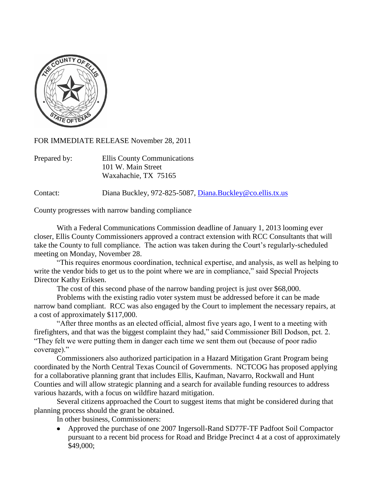

FOR IMMEDIATE RELEASE November 28, 2011

| Prepared by: | <b>Ellis County Communications</b> |
|--------------|------------------------------------|
|              | 101 W. Main Street                 |
|              | Waxahachie, TX 75165               |

Contact: Diana Buckley, 972-825-5087, [Diana.Buckley@co.ellis.tx.us](mailto:Diana.Buckley@co.ellis.tx.us)

County progresses with narrow banding compliance

With a Federal Communications Commission deadline of January 1, 2013 looming ever closer, Ellis County Commissioners approved a contract extension with RCC Consultants that will take the County to full compliance. The action was taken during the Court's regularly-scheduled meeting on Monday, November 28.

"This requires enormous coordination, technical expertise, and analysis, as well as helping to write the vendor bids to get us to the point where we are in compliance," said Special Projects Director Kathy Eriksen.

The cost of this second phase of the narrow banding project is just over \$68,000.

Problems with the existing radio voter system must be addressed before it can be made narrow band compliant. RCC was also engaged by the Court to implement the necessary repairs, at a cost of approximately \$117,000.

"After three months as an elected official, almost five years ago, I went to a meeting with firefighters, and that was the biggest complaint they had," said Commissioner Bill Dodson, pct. 2. "They felt we were putting them in danger each time we sent them out (because of poor radio coverage)."

Commissioners also authorized participation in a Hazard Mitigation Grant Program being coordinated by the North Central Texas Council of Governments. NCTCOG has proposed applying for a collaborative planning grant that includes Ellis, Kaufman, Navarro, Rockwall and Hunt Counties and will allow strategic planning and a search for available funding resources to address various hazards, with a focus on wildfire hazard mitigation.

Several citizens approached the Court to suggest items that might be considered during that planning process should the grant be obtained.

In other business, Commissioners:

Approved the purchase of one 2007 Ingersoll-Rand SD77F-TF Padfoot Soil Compactor pursuant to a recent bid process for Road and Bridge Precinct 4 at a cost of approximately \$49,000;